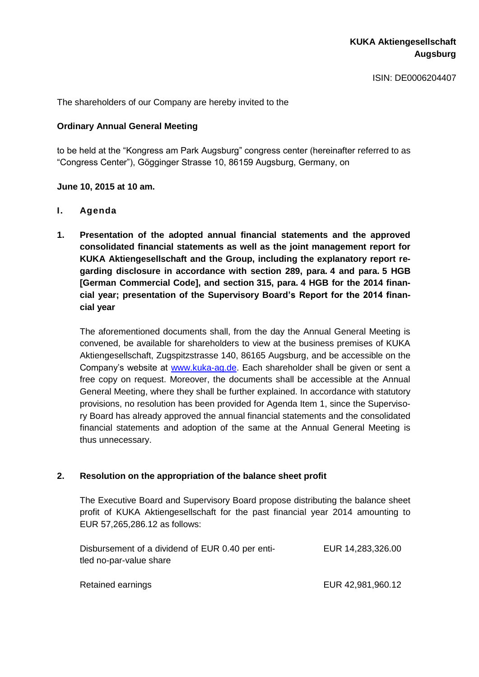ISIN: DE0006204407

The shareholders of our Company are hereby invited to the

### **Ordinary Annual General Meeting**

to be held at the "Kongress am Park Augsburg" congress center (hereinafter referred to as "Congress Center"), Gögginger Strasse 10, 86159 Augsburg, Germany, on

### **June 10, 2015 at 10 am.**

### **I. Agenda**

**1. Presentation of the adopted annual financial statements and the approved consolidated financial statements as well as the joint management report for KUKA Aktiengesellschaft and the Group, including the explanatory report regarding disclosure in accordance with section 289, para. 4 and para. 5 HGB [German Commercial Code], and section 315, para. 4 HGB for the 2014 financial year; presentation of the Supervisory Board's Report for the 2014 financial year**

The aforementioned documents shall, from the day the Annual General Meeting is convened, be available for shareholders to view at the business premises of KUKA Aktiengesellschaft, Zugspitzstrasse 140, 86165 Augsburg, and be accessible on the Company's website at [www.kuka-ag.de.](http://www.kuka-ag.de/) Each shareholder shall be given or sent a free copy on request. Moreover, the documents shall be accessible at the Annual General Meeting, where they shall be further explained. In accordance with statutory provisions, no resolution has been provided for Agenda Item 1, since the Supervisory Board has already approved the annual financial statements and the consolidated financial statements and adoption of the same at the Annual General Meeting is thus unnecessary.

### **2. Resolution on the appropriation of the balance sheet profit**

The Executive Board and Supervisory Board propose distributing the balance sheet profit of KUKA Aktiengesellschaft for the past financial year 2014 amounting to EUR 57,265,286.12 as follows:

| Disbursement of a dividend of EUR 0.40 per enti- | EUR 14,283,326.00 |
|--------------------------------------------------|-------------------|
| tled no-par-value share                          |                   |
|                                                  |                   |
| Retained earnings                                | EUR 42,981,960.12 |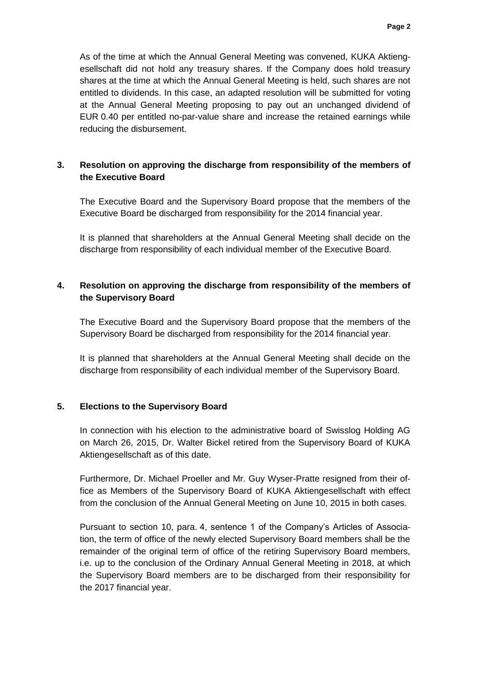As of the time at which the Annual General Meeting was convened, KUKA Aktiengesellschaft did not hold any treasury shares. If the Company does hold treasury shares at the time at which the Annual General Meeting is held, such shares are not entitled to dividends. In this case, an adapted resolution will be submitted for voting at the Annual General Meeting proposing to pay out an unchanged dividend of EUR 0.40 per entitled no-par-value share and increase the retained earnings while reducing the disbursement.

# **3. Resolution on approving the discharge from responsibility of the members of the Executive Board**

The Executive Board and the Supervisory Board propose that the members of the Executive Board be discharged from responsibility for the 2014 financial year.

It is planned that shareholders at the Annual General Meeting shall decide on the discharge from responsibility of each individual member of the Executive Board.

# **4. Resolution on approving the discharge from responsibility of the members of the Supervisory Board**

The Executive Board and the Supervisory Board propose that the members of the Supervisory Board be discharged from responsibility for the 2014 financial year.

It is planned that shareholders at the Annual General Meeting shall decide on the discharge from responsibility of each individual member of the Supervisory Board.

### **5. Elections to the Supervisory Board**

In connection with his election to the administrative board of Swisslog Holding AG on March 26, 2015, Dr. Walter Bickel retired from the Supervisory Board of KUKA Aktiengesellschaft as of this date.

Furthermore, Dr. Michael Proeller and Mr. Guy Wyser-Pratte resigned from their office as Members of the Supervisory Board of KUKA Aktiengesellschaft with effect from the conclusion of the Annual General Meeting on June 10, 2015 in both cases.

Pursuant to section 10, para. 4, sentence 1 of the Company's Articles of Association, the term of office of the newly elected Supervisory Board members shall be the remainder of the original term of office of the retiring Supervisory Board members, i.e. up to the conclusion of the Ordinary Annual General Meeting in 2018, at which the Supervisory Board members are to be discharged from their responsibility for the 2017 financial year.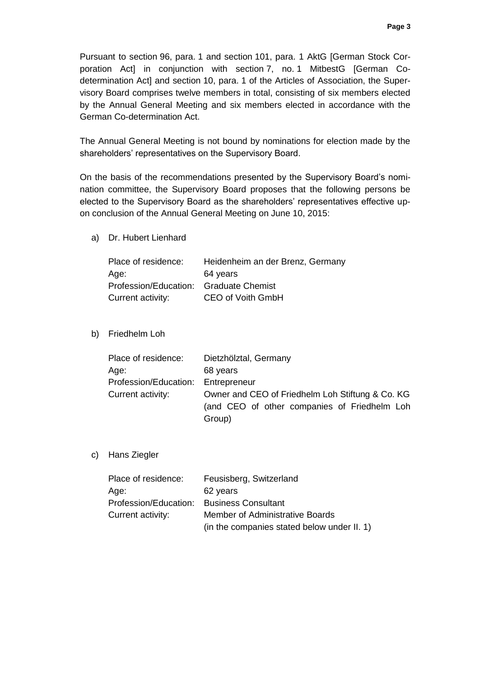Pursuant to section 96, para. 1 and section 101, para. 1 AktG [German Stock Corporation Act] in conjunction with section 7, no. 1 MitbestG [German Codetermination Act] and section 10, para. 1 of the Articles of Association, the Supervisory Board comprises twelve members in total, consisting of six members elected by the Annual General Meeting and six members elected in accordance with the German Co-determination Act.

The Annual General Meeting is not bound by nominations for election made by the shareholders' representatives on the Supervisory Board.

On the basis of the recommendations presented by the Supervisory Board's nomination committee, the Supervisory Board proposes that the following persons be elected to the Supervisory Board as the shareholders' representatives effective upon conclusion of the Annual General Meeting on June 10, 2015:

a) Dr. Hubert Lienhard

| Place of residence:                    | Heidenheim an der Brenz, Germany |
|----------------------------------------|----------------------------------|
| Age:                                   | 64 years                         |
| Profession/Education: Graduate Chemist |                                  |
| Current activity:                      | CEO of Voith GmbH                |

b) Friedhelm Loh

| Place of residence:                | Dietzhölztal, Germany                                                                                      |
|------------------------------------|------------------------------------------------------------------------------------------------------------|
| Age:                               | 68 years                                                                                                   |
| Profession/Education: Entrepreneur |                                                                                                            |
| Current activity:                  | Owner and CEO of Friedhelm Loh Stiftung & Co. KG<br>(and CEO of other companies of Friedhelm Loh<br>Group) |

c) Hans Ziegler

| Place of residence:                       | Feusisberg, Switzerland                     |
|-------------------------------------------|---------------------------------------------|
| Age:                                      | 62 years                                    |
| Profession/Education: Business Consultant |                                             |
| Current activity:                         | Member of Administrative Boards             |
|                                           | (in the companies stated below under II. 1) |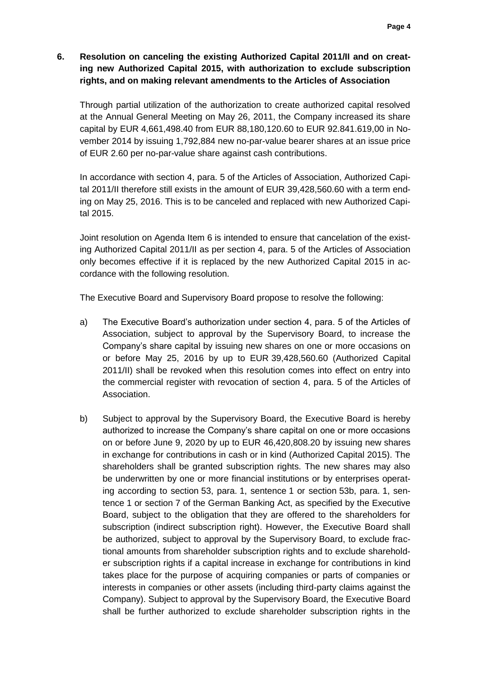# **6. Resolution on canceling the existing Authorized Capital 2011/II and on creating new Authorized Capital 2015, with authorization to exclude subscription rights, and on making relevant amendments to the Articles of Association**

Through partial utilization of the authorization to create authorized capital resolved at the Annual General Meeting on May 26, 2011, the Company increased its share capital by EUR 4,661,498.40 from EUR 88,180,120.60 to EUR 92.841.619,00 in November 2014 by issuing 1,792,884 new no-par-value bearer shares at an issue price of EUR 2.60 per no-par-value share against cash contributions.

In accordance with section 4, para. 5 of the Articles of Association, Authorized Capital 2011/II therefore still exists in the amount of EUR 39,428,560.60 with a term ending on May 25, 2016. This is to be canceled and replaced with new Authorized Capital 2015.

Joint resolution on Agenda Item 6 is intended to ensure that cancelation of the existing Authorized Capital 2011/II as per section 4, para. 5 of the Articles of Association only becomes effective if it is replaced by the new Authorized Capital 2015 in accordance with the following resolution.

The Executive Board and Supervisory Board propose to resolve the following:

- a) The Executive Board's authorization under section 4, para. 5 of the Articles of Association, subject to approval by the Supervisory Board, to increase the Company's share capital by issuing new shares on one or more occasions on or before May 25, 2016 by up to EUR 39,428,560.60 (Authorized Capital 2011/II) shall be revoked when this resolution comes into effect on entry into the commercial register with revocation of section 4, para. 5 of the Articles of Association.
- b) Subject to approval by the Supervisory Board, the Executive Board is hereby authorized to increase the Company's share capital on one or more occasions on or before June 9, 2020 by up to EUR 46,420,808.20 by issuing new shares in exchange for contributions in cash or in kind (Authorized Capital 2015). The shareholders shall be granted subscription rights. The new shares may also be underwritten by one or more financial institutions or by enterprises operating according to section 53, para. 1, sentence 1 or section 53b, para. 1, sentence 1 or section 7 of the German Banking Act, as specified by the Executive Board, subject to the obligation that they are offered to the shareholders for subscription (indirect subscription right). However, the Executive Board shall be authorized, subject to approval by the Supervisory Board, to exclude fractional amounts from shareholder subscription rights and to exclude shareholder subscription rights if a capital increase in exchange for contributions in kind takes place for the purpose of acquiring companies or parts of companies or interests in companies or other assets (including third-party claims against the Company). Subject to approval by the Supervisory Board, the Executive Board shall be further authorized to exclude shareholder subscription rights in the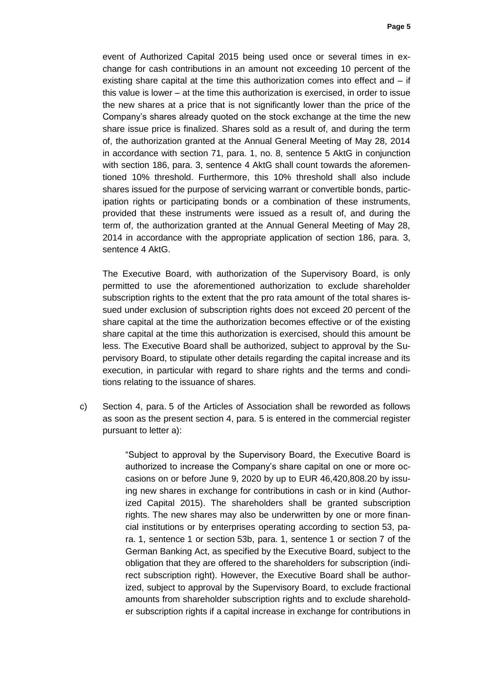event of Authorized Capital 2015 being used once or several times in exchange for cash contributions in an amount not exceeding 10 percent of the existing share capital at the time this authorization comes into effect and – if this value is lower – at the time this authorization is exercised, in order to issue the new shares at a price that is not significantly lower than the price of the Company's shares already quoted on the stock exchange at the time the new share issue price is finalized. Shares sold as a result of, and during the term of, the authorization granted at the Annual General Meeting of May 28, 2014 in accordance with section 71, para. 1, no. 8, sentence 5 AktG in conjunction with section 186, para. 3, sentence 4 AktG shall count towards the aforementioned 10% threshold. Furthermore, this 10% threshold shall also include shares issued for the purpose of servicing warrant or convertible bonds, participation rights or participating bonds or a combination of these instruments, provided that these instruments were issued as a result of, and during the term of, the authorization granted at the Annual General Meeting of May 28, 2014 in accordance with the appropriate application of section 186, para. 3, sentence 4 AktG.

The Executive Board, with authorization of the Supervisory Board, is only permitted to use the aforementioned authorization to exclude shareholder subscription rights to the extent that the pro rata amount of the total shares issued under exclusion of subscription rights does not exceed 20 percent of the share capital at the time the authorization becomes effective or of the existing share capital at the time this authorization is exercised, should this amount be less. The Executive Board shall be authorized, subject to approval by the Supervisory Board, to stipulate other details regarding the capital increase and its execution, in particular with regard to share rights and the terms and conditions relating to the issuance of shares.

c) Section 4, para. 5 of the Articles of Association shall be reworded as follows as soon as the present section 4, para. 5 is entered in the commercial register pursuant to letter a):

> "Subject to approval by the Supervisory Board, the Executive Board is authorized to increase the Company's share capital on one or more occasions on or before June 9, 2020 by up to EUR 46,420,808.20 by issuing new shares in exchange for contributions in cash or in kind (Authorized Capital 2015). The shareholders shall be granted subscription rights. The new shares may also be underwritten by one or more financial institutions or by enterprises operating according to section 53, para. 1, sentence 1 or section 53b, para. 1, sentence 1 or section 7 of the German Banking Act, as specified by the Executive Board, subject to the obligation that they are offered to the shareholders for subscription (indirect subscription right). However, the Executive Board shall be authorized, subject to approval by the Supervisory Board, to exclude fractional amounts from shareholder subscription rights and to exclude shareholder subscription rights if a capital increase in exchange for contributions in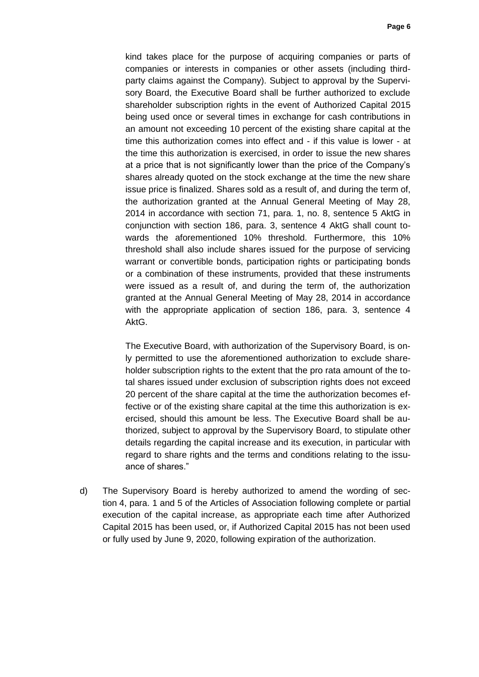kind takes place for the purpose of acquiring companies or parts of companies or interests in companies or other assets (including thirdparty claims against the Company). Subject to approval by the Supervisory Board, the Executive Board shall be further authorized to exclude shareholder subscription rights in the event of Authorized Capital 2015 being used once or several times in exchange for cash contributions in an amount not exceeding 10 percent of the existing share capital at the time this authorization comes into effect and - if this value is lower - at the time this authorization is exercised, in order to issue the new shares at a price that is not significantly lower than the price of the Company's shares already quoted on the stock exchange at the time the new share issue price is finalized. Shares sold as a result of, and during the term of, the authorization granted at the Annual General Meeting of May 28, 2014 in accordance with section 71, para. 1, no. 8, sentence 5 AktG in conjunction with section 186, para. 3, sentence 4 AktG shall count towards the aforementioned 10% threshold. Furthermore, this 10% threshold shall also include shares issued for the purpose of servicing warrant or convertible bonds, participation rights or participating bonds or a combination of these instruments, provided that these instruments were issued as a result of, and during the term of, the authorization granted at the Annual General Meeting of May 28, 2014 in accordance with the appropriate application of section 186, para. 3, sentence 4 AktG.

The Executive Board, with authorization of the Supervisory Board, is only permitted to use the aforementioned authorization to exclude shareholder subscription rights to the extent that the pro rata amount of the total shares issued under exclusion of subscription rights does not exceed 20 percent of the share capital at the time the authorization becomes effective or of the existing share capital at the time this authorization is exercised, should this amount be less. The Executive Board shall be authorized, subject to approval by the Supervisory Board, to stipulate other details regarding the capital increase and its execution, in particular with regard to share rights and the terms and conditions relating to the issuance of shares."

d) The Supervisory Board is hereby authorized to amend the wording of section 4, para. 1 and 5 of the Articles of Association following complete or partial execution of the capital increase, as appropriate each time after Authorized Capital 2015 has been used, or, if Authorized Capital 2015 has not been used or fully used by June 9, 2020, following expiration of the authorization.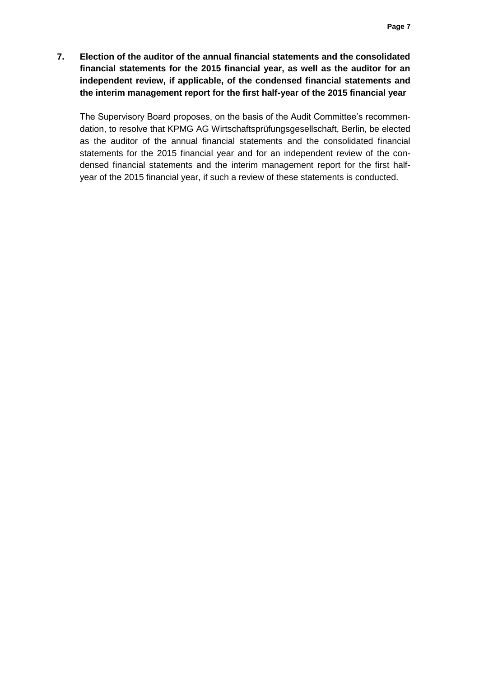**7. Election of the auditor of the annual financial statements and the consolidated financial statements for the 2015 financial year, as well as the auditor for an independent review, if applicable, of the condensed financial statements and the interim management report for the first half-year of the 2015 financial year**

The Supervisory Board proposes, on the basis of the Audit Committee's recommendation, to resolve that KPMG AG Wirtschaftsprüfungsgesellschaft, Berlin, be elected as the auditor of the annual financial statements and the consolidated financial statements for the 2015 financial year and for an independent review of the condensed financial statements and the interim management report for the first halfyear of the 2015 financial year, if such a review of these statements is conducted.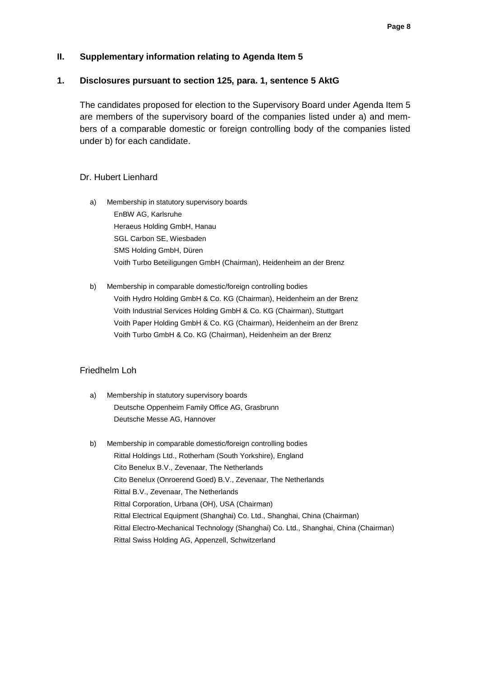### **II. Supplementary information relating to Agenda Item 5**

### **1. Disclosures pursuant to section 125, para. 1, sentence 5 AktG**

The candidates proposed for election to the Supervisory Board under Agenda Item 5 are members of the supervisory board of the companies listed under a) and members of a comparable domestic or foreign controlling body of the companies listed under b) for each candidate.

### Dr. Hubert Lienhard

- a) Membership in statutory supervisory boards EnBW AG, Karlsruhe Heraeus Holding GmbH, Hanau SGL Carbon SE, Wiesbaden SMS Holding GmbH, Düren Voith Turbo Beteiligungen GmbH (Chairman), Heidenheim an der Brenz
- b) Membership in comparable domestic/foreign controlling bodies Voith Hydro Holding GmbH & Co. KG (Chairman), Heidenheim an der Brenz Voith Industrial Services Holding GmbH & Co. KG (Chairman), Stuttgart Voith Paper Holding GmbH & Co. KG (Chairman), Heidenheim an der Brenz Voith Turbo GmbH & Co. KG (Chairman), Heidenheim an der Brenz

#### Friedhelm Loh

- a) Membership in statutory supervisory boards Deutsche Oppenheim Family Office AG, Grasbrunn Deutsche Messe AG, Hannover
- b) Membership in comparable domestic/foreign controlling bodies Rittal Holdings Ltd., Rotherham (South Yorkshire), England Cito Benelux B.V., Zevenaar, The Netherlands Cito Benelux (Onroerend Goed) B.V., Zevenaar, The Netherlands Rittal B.V., Zevenaar, The Netherlands Rittal Corporation, Urbana (OH), USA (Chairman) Rittal Electrical Equipment (Shanghai) Co. Ltd., Shanghai, China (Chairman) Rittal Electro-Mechanical Technology (Shanghai) Co. Ltd., Shanghai, China (Chairman) Rittal Swiss Holding AG, Appenzell, Schwitzerland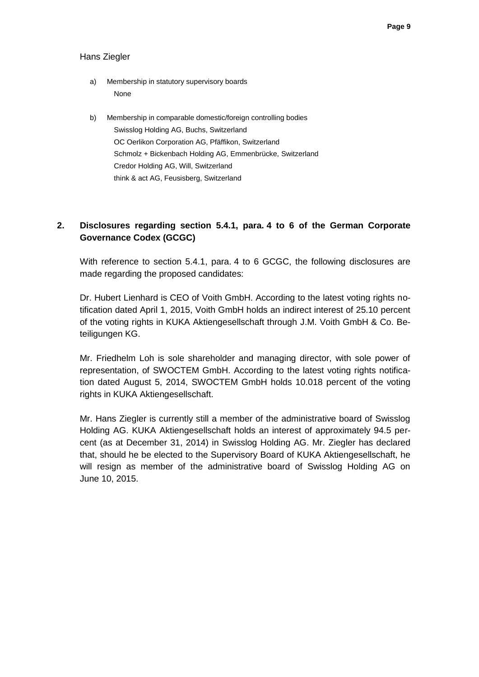#### Hans Ziegler

- a) Membership in statutory supervisory boards None
- b) Membership in comparable domestic/foreign controlling bodies Swisslog Holding AG, Buchs, Switzerland OC Oerlikon Corporation AG, Pfäffikon, Switzerland Schmolz + Bickenbach Holding AG, Emmenbrücke, Switzerland Credor Holding AG, Will, Switzerland think & act AG, Feusisberg, Switzerland

# **2. Disclosures regarding section 5.4.1, para. 4 to 6 of the German Corporate Governance Codex (GCGC)**

With reference to section 5.4.1, para. 4 to 6 GCGC, the following disclosures are made regarding the proposed candidates:

Dr. Hubert Lienhard is CEO of Voith GmbH. According to the latest voting rights notification dated April 1, 2015, Voith GmbH holds an indirect interest of 25.10 percent of the voting rights in KUKA Aktiengesellschaft through J.M. Voith GmbH & Co. Beteiligungen KG.

Mr. Friedhelm Loh is sole shareholder and managing director, with sole power of representation, of SWOCTEM GmbH. According to the latest voting rights notification dated August 5, 2014, SWOCTEM GmbH holds 10.018 percent of the voting rights in KUKA Aktiengesellschaft.

Mr. Hans Ziegler is currently still a member of the administrative board of Swisslog Holding AG. KUKA Aktiengesellschaft holds an interest of approximately 94.5 percent (as at December 31, 2014) in Swisslog Holding AG. Mr. Ziegler has declared that, should he be elected to the Supervisory Board of KUKA Aktiengesellschaft, he will resign as member of the administrative board of Swisslog Holding AG on June 10, 2015.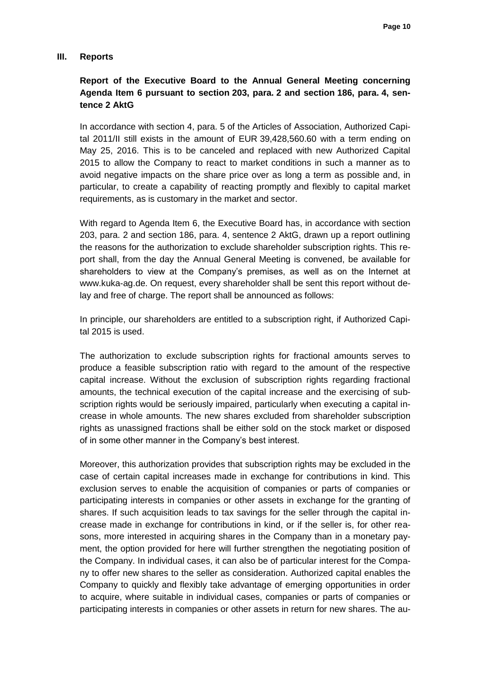#### **III. Reports**

# **Report of the Executive Board to the Annual General Meeting concerning Agenda Item 6 pursuant to section 203, para. 2 and section 186, para. 4, sentence 2 AktG**

In accordance with section 4, para. 5 of the Articles of Association, Authorized Capital 2011/II still exists in the amount of EUR 39,428,560.60 with a term ending on May 25, 2016. This is to be canceled and replaced with new Authorized Capital 2015 to allow the Company to react to market conditions in such a manner as to avoid negative impacts on the share price over as long a term as possible and, in particular, to create a capability of reacting promptly and flexibly to capital market requirements, as is customary in the market and sector.

With regard to Agenda Item 6, the Executive Board has, in accordance with section 203, para. 2 and section 186, para. 4, sentence 2 AktG, drawn up a report outlining the reasons for the authorization to exclude shareholder subscription rights. This report shall, from the day the Annual General Meeting is convened, be available for shareholders to view at the Company's premises, as well as on the Internet at www.kuka-ag.de. On request, every shareholder shall be sent this report without delay and free of charge. The report shall be announced as follows:

In principle, our shareholders are entitled to a subscription right, if Authorized Capital 2015 is used.

The authorization to exclude subscription rights for fractional amounts serves to produce a feasible subscription ratio with regard to the amount of the respective capital increase. Without the exclusion of subscription rights regarding fractional amounts, the technical execution of the capital increase and the exercising of subscription rights would be seriously impaired, particularly when executing a capital increase in whole amounts. The new shares excluded from shareholder subscription rights as unassigned fractions shall be either sold on the stock market or disposed of in some other manner in the Company's best interest.

Moreover, this authorization provides that subscription rights may be excluded in the case of certain capital increases made in exchange for contributions in kind. This exclusion serves to enable the acquisition of companies or parts of companies or participating interests in companies or other assets in exchange for the granting of shares. If such acquisition leads to tax savings for the seller through the capital increase made in exchange for contributions in kind, or if the seller is, for other reasons, more interested in acquiring shares in the Company than in a monetary payment, the option provided for here will further strengthen the negotiating position of the Company. In individual cases, it can also be of particular interest for the Company to offer new shares to the seller as consideration. Authorized capital enables the Company to quickly and flexibly take advantage of emerging opportunities in order to acquire, where suitable in individual cases, companies or parts of companies or participating interests in companies or other assets in return for new shares. The au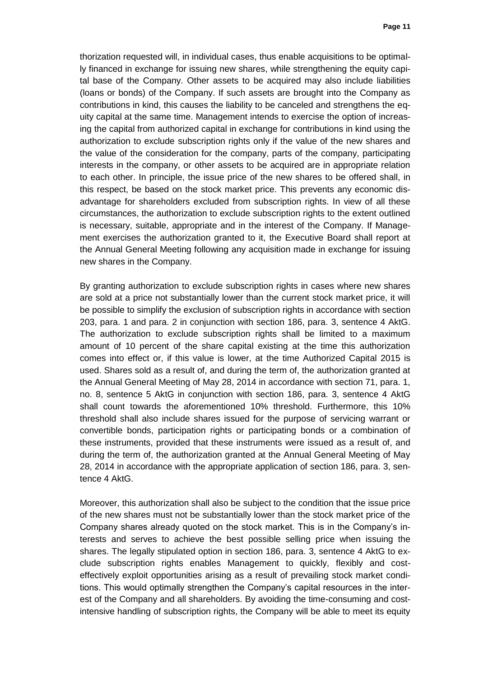thorization requested will, in individual cases, thus enable acquisitions to be optimally financed in exchange for issuing new shares, while strengthening the equity capital base of the Company. Other assets to be acquired may also include liabilities (loans or bonds) of the Company. If such assets are brought into the Company as contributions in kind, this causes the liability to be canceled and strengthens the equity capital at the same time. Management intends to exercise the option of increasing the capital from authorized capital in exchange for contributions in kind using the authorization to exclude subscription rights only if the value of the new shares and the value of the consideration for the company, parts of the company, participating interests in the company, or other assets to be acquired are in appropriate relation to each other. In principle, the issue price of the new shares to be offered shall, in this respect, be based on the stock market price. This prevents any economic disadvantage for shareholders excluded from subscription rights. In view of all these circumstances, the authorization to exclude subscription rights to the extent outlined is necessary, suitable, appropriate and in the interest of the Company. If Management exercises the authorization granted to it, the Executive Board shall report at the Annual General Meeting following any acquisition made in exchange for issuing new shares in the Company.

By granting authorization to exclude subscription rights in cases where new shares are sold at a price not substantially lower than the current stock market price, it will be possible to simplify the exclusion of subscription rights in accordance with section 203, para. 1 and para. 2 in conjunction with section 186, para. 3, sentence 4 AktG. The authorization to exclude subscription rights shall be limited to a maximum amount of 10 percent of the share capital existing at the time this authorization comes into effect or, if this value is lower, at the time Authorized Capital 2015 is used. Shares sold as a result of, and during the term of, the authorization granted at the Annual General Meeting of May 28, 2014 in accordance with section 71, para. 1, no. 8, sentence 5 AktG in conjunction with section 186, para. 3, sentence 4 AktG shall count towards the aforementioned 10% threshold. Furthermore, this 10% threshold shall also include shares issued for the purpose of servicing warrant or convertible bonds, participation rights or participating bonds or a combination of these instruments, provided that these instruments were issued as a result of, and during the term of, the authorization granted at the Annual General Meeting of May 28, 2014 in accordance with the appropriate application of section 186, para. 3, sentence 4 AktG.

Moreover, this authorization shall also be subject to the condition that the issue price of the new shares must not be substantially lower than the stock market price of the Company shares already quoted on the stock market. This is in the Company's interests and serves to achieve the best possible selling price when issuing the shares. The legally stipulated option in section 186, para. 3, sentence 4 AktG to exclude subscription rights enables Management to quickly, flexibly and costeffectively exploit opportunities arising as a result of prevailing stock market conditions. This would optimally strengthen the Company's capital resources in the interest of the Company and all shareholders. By avoiding the time-consuming and costintensive handling of subscription rights, the Company will be able to meet its equity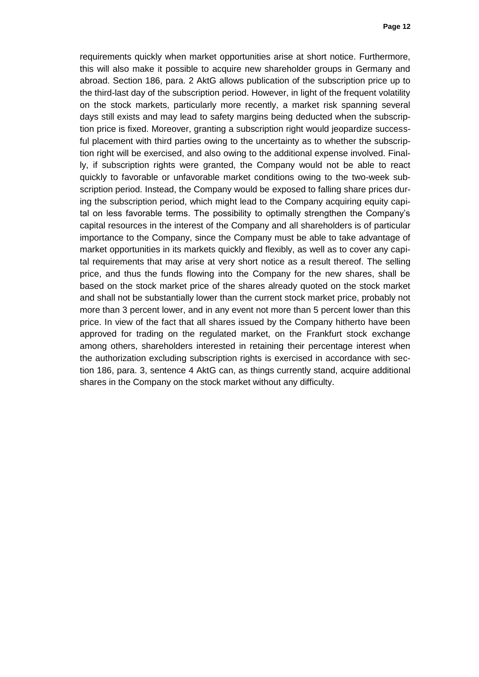requirements quickly when market opportunities arise at short notice. Furthermore, this will also make it possible to acquire new shareholder groups in Germany and abroad. Section 186, para. 2 AktG allows publication of the subscription price up to the third-last day of the subscription period. However, in light of the frequent volatility on the stock markets, particularly more recently, a market risk spanning several days still exists and may lead to safety margins being deducted when the subscription price is fixed. Moreover, granting a subscription right would jeopardize successful placement with third parties owing to the uncertainty as to whether the subscription right will be exercised, and also owing to the additional expense involved. Finally, if subscription rights were granted, the Company would not be able to react quickly to favorable or unfavorable market conditions owing to the two-week subscription period. Instead, the Company would be exposed to falling share prices during the subscription period, which might lead to the Company acquiring equity capital on less favorable terms. The possibility to optimally strengthen the Company's capital resources in the interest of the Company and all shareholders is of particular importance to the Company, since the Company must be able to take advantage of market opportunities in its markets quickly and flexibly, as well as to cover any capital requirements that may arise at very short notice as a result thereof. The selling price, and thus the funds flowing into the Company for the new shares, shall be based on the stock market price of the shares already quoted on the stock market and shall not be substantially lower than the current stock market price, probably not more than 3 percent lower, and in any event not more than 5 percent lower than this price. In view of the fact that all shares issued by the Company hitherto have been approved for trading on the regulated market, on the Frankfurt stock exchange among others, shareholders interested in retaining their percentage interest when the authorization excluding subscription rights is exercised in accordance with section 186, para. 3, sentence 4 AktG can, as things currently stand, acquire additional shares in the Company on the stock market without any difficulty.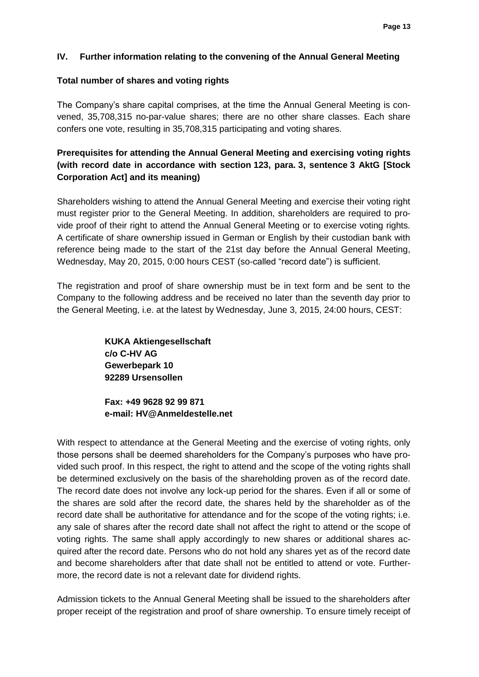### **IV. Further information relating to the convening of the Annual General Meeting**

### **Total number of shares and voting rights**

The Company's share capital comprises, at the time the Annual General Meeting is convened, 35,708,315 no-par-value shares; there are no other share classes. Each share confers one vote, resulting in 35,708,315 participating and voting shares.

# **Prerequisites for attending the Annual General Meeting and exercising voting rights (with record date in accordance with section 123, para. 3, sentence 3 AktG [Stock Corporation Act] and its meaning)**

Shareholders wishing to attend the Annual General Meeting and exercise their voting right must register prior to the General Meeting. In addition, shareholders are required to provide proof of their right to attend the Annual General Meeting or to exercise voting rights. A certificate of share ownership issued in German or English by their custodian bank with reference being made to the start of the 21st day before the Annual General Meeting, Wednesday, May 20, 2015, 0:00 hours CEST (so-called "record date") is sufficient.

The registration and proof of share ownership must be in text form and be sent to the Company to the following address and be received no later than the seventh day prior to the General Meeting, i.e. at the latest by Wednesday, June 3, 2015, 24:00 hours, CEST:

> **KUKA Aktiengesellschaft c/o C-HV AG Gewerbepark 10 92289 Ursensollen**

**Fax: +49 9628 92 99 871 e-mail: [HV@Anmeldestelle.net](mailto:HV@Anmeldestelle.net)**

With respect to attendance at the General Meeting and the exercise of voting rights, only those persons shall be deemed shareholders for the Company's purposes who have provided such proof. In this respect, the right to attend and the scope of the voting rights shall be determined exclusively on the basis of the shareholding proven as of the record date. The record date does not involve any lock-up period for the shares. Even if all or some of the shares are sold after the record date, the shares held by the shareholder as of the record date shall be authoritative for attendance and for the scope of the voting rights; i.e. any sale of shares after the record date shall not affect the right to attend or the scope of voting rights. The same shall apply accordingly to new shares or additional shares acquired after the record date. Persons who do not hold any shares yet as of the record date and become shareholders after that date shall not be entitled to attend or vote. Furthermore, the record date is not a relevant date for dividend rights.

Admission tickets to the Annual General Meeting shall be issued to the shareholders after proper receipt of the registration and proof of share ownership. To ensure timely receipt of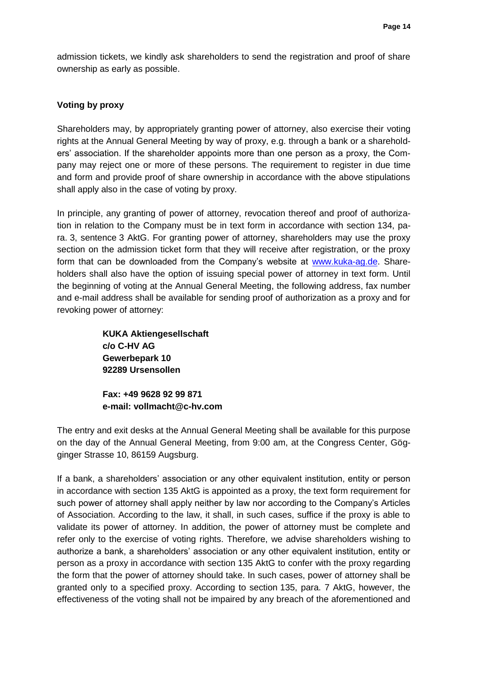admission tickets, we kindly ask shareholders to send the registration and proof of share ownership as early as possible.

### **Voting by proxy**

Shareholders may, by appropriately granting power of attorney, also exercise their voting rights at the Annual General Meeting by way of proxy, e.g. through a bank or a shareholders' association. If the shareholder appoints more than one person as a proxy, the Company may reject one or more of these persons. The requirement to register in due time and form and provide proof of share ownership in accordance with the above stipulations shall apply also in the case of voting by proxy.

In principle, any granting of power of attorney, revocation thereof and proof of authorization in relation to the Company must be in text form in accordance with section 134, para. 3, sentence 3 AktG. For granting power of attorney, shareholders may use the proxy section on the admission ticket form that they will receive after registration, or the proxy form that can be downloaded from the Company's website at [www.kuka-ag.de.](http://www.kuka-ag.de/) Shareholders shall also have the option of issuing special power of attorney in text form. Until the beginning of voting at the Annual General Meeting, the following address, fax number and e-mail address shall be available for sending proof of authorization as a proxy and for revoking power of attorney:

> **KUKA Aktiengesellschaft c/o C-HV AG Gewerbepark 10 92289 Ursensollen**

**Fax: +49 9628 92 99 871 e-mail: vollmacht@c-hv.com**

The entry and exit desks at the Annual General Meeting shall be available for this purpose on the day of the Annual General Meeting, from 9:00 am, at the Congress Center, Gögginger Strasse 10, 86159 Augsburg.

If a bank, a shareholders' association or any other equivalent institution, entity or person in accordance with section 135 AktG is appointed as a proxy, the text form requirement for such power of attorney shall apply neither by law nor according to the Company's Articles of Association. According to the law, it shall, in such cases, suffice if the proxy is able to validate its power of attorney. In addition, the power of attorney must be complete and refer only to the exercise of voting rights. Therefore, we advise shareholders wishing to authorize a bank, a shareholders' association or any other equivalent institution, entity or person as a proxy in accordance with section 135 AktG to confer with the proxy regarding the form that the power of attorney should take. In such cases, power of attorney shall be granted only to a specified proxy. According to section 135, para. 7 AktG, however, the effectiveness of the voting shall not be impaired by any breach of the aforementioned and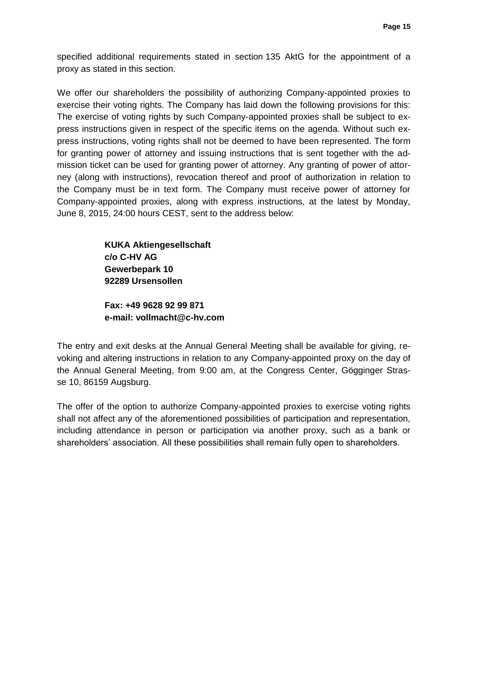specified additional requirements stated in section 135 AktG for the appointment of a proxy as stated in this section.

We offer our shareholders the possibility of authorizing Company-appointed proxies to exercise their voting rights. The Company has laid down the following provisions for this: The exercise of voting rights by such Company-appointed proxies shall be subject to express instructions given in respect of the specific items on the agenda. Without such express instructions, voting rights shall not be deemed to have been represented. The form for granting power of attorney and issuing instructions that is sent together with the admission ticket can be used for granting power of attorney. Any granting of power of attorney (along with instructions), revocation thereof and proof of authorization in relation to the Company must be in text form. The Company must receive power of attorney for Company-appointed proxies, along with express instructions, at the latest by Monday, June 8, 2015, 24:00 hours CEST, sent to the address below:

> **KUKA Aktiengesellschaft c/o C-HV AG Gewerbepark 10 92289 Ursensollen**

**Fax: +49 9628 92 99 871 e-mail: vollmacht@c-hv.com**

The entry and exit desks at the Annual General Meeting shall be available for giving, revoking and altering instructions in relation to any Company-appointed proxy on the day of the Annual General Meeting, from 9:00 am, at the Congress Center, Gögginger Strasse 10, 86159 Augsburg.

The offer of the option to authorize Company-appointed proxies to exercise voting rights shall not affect any of the aforementioned possibilities of participation and representation, including attendance in person or participation via another proxy, such as a bank or shareholders' association. All these possibilities shall remain fully open to shareholders.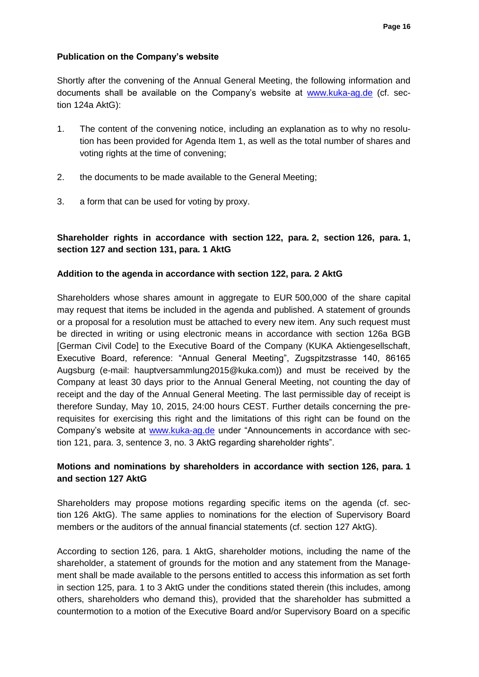### **Publication on the Company's website**

Shortly after the convening of the Annual General Meeting, the following information and documents shall be available on the Company's website at [www.kuka-ag.de](http://www.kuka-ag.de/) (cf. section 124a AktG):

- 1. The content of the convening notice, including an explanation as to why no resolution has been provided for Agenda Item 1, as well as the total number of shares and voting rights at the time of convening;
- 2. the documents to be made available to the General Meeting;
- 3. a form that can be used for voting by proxy.

## **Shareholder rights in accordance with section 122, para. 2, section 126, para. 1, section 127 and section 131, para. 1 AktG**

### **Addition to the agenda in accordance with section 122, para. 2 AktG**

Shareholders whose shares amount in aggregate to EUR 500,000 of the share capital may request that items be included in the agenda and published. A statement of grounds or a proposal for a resolution must be attached to every new item. Any such request must be directed in writing or using electronic means in accordance with section 126a BGB [German Civil Code] to the Executive Board of the Company (KUKA Aktiengesellschaft, Executive Board, reference: "Annual General Meeting", Zugspitzstrasse 140, 86165 Augsburg (e-mail: hauptversammlung2015@kuka.com)) and must be received by the Company at least 30 days prior to the Annual General Meeting, not counting the day of receipt and the day of the Annual General Meeting. The last permissible day of receipt is therefore Sunday, May 10, 2015, 24:00 hours CEST. Further details concerning the prerequisites for exercising this right and the limitations of this right can be found on the Company's website at [www.kuka-ag.de](http://www.kuka-ag.de/) under "Announcements in accordance with section 121, para. 3, sentence 3, no. 3 AktG regarding shareholder rights".

## **Motions and nominations by shareholders in accordance with section 126, para. 1 and section 127 AktG**

Shareholders may propose motions regarding specific items on the agenda (cf. section 126 AktG). The same applies to nominations for the election of Supervisory Board members or the auditors of the annual financial statements (cf. section 127 AktG).

According to section 126, para. 1 AktG, shareholder motions, including the name of the shareholder, a statement of grounds for the motion and any statement from the Management shall be made available to the persons entitled to access this information as set forth in section 125, para. 1 to 3 AktG under the conditions stated therein (this includes, among others, shareholders who demand this), provided that the shareholder has submitted a countermotion to a motion of the Executive Board and/or Supervisory Board on a specific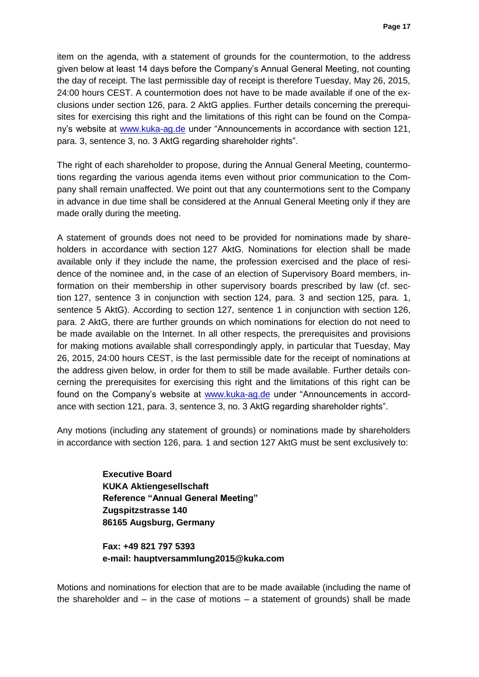item on the agenda, with a statement of grounds for the countermotion, to the address given below at least 14 days before the Company's Annual General Meeting, not counting the day of receipt. The last permissible day of receipt is therefore Tuesday, May 26, 2015, 24:00 hours CEST. A countermotion does not have to be made available if one of the exclusions under section 126, para. 2 AktG applies. Further details concerning the prerequisites for exercising this right and the limitations of this right can be found on the Company's website at [www.kuka-ag.de](http://www.kuka-ag.de/) under "Announcements in accordance with section 121, para. 3, sentence 3, no. 3 AktG regarding shareholder rights".

The right of each shareholder to propose, during the Annual General Meeting, countermotions regarding the various agenda items even without prior communication to the Company shall remain unaffected. We point out that any countermotions sent to the Company in advance in due time shall be considered at the Annual General Meeting only if they are made orally during the meeting.

A statement of grounds does not need to be provided for nominations made by shareholders in accordance with section 127 AktG. Nominations for election shall be made available only if they include the name, the profession exercised and the place of residence of the nominee and, in the case of an election of Supervisory Board members, information on their membership in other supervisory boards prescribed by law (cf. section 127, sentence 3 in conjunction with section 124, para. 3 and section 125, para. 1, sentence 5 AktG). According to section 127, sentence 1 in conjunction with section 126, para. 2 AktG, there are further grounds on which nominations for election do not need to be made available on the Internet. In all other respects, the prerequisites and provisions for making motions available shall correspondingly apply, in particular that Tuesday, May 26, 2015, 24:00 hours CEST, is the last permissible date for the receipt of nominations at the address given below, in order for them to still be made available. Further details concerning the prerequisites for exercising this right and the limitations of this right can be found on the Company's website at [www.kuka-ag.de](http://www.kuka-ag.de/) under "Announcements in accordance with section 121, para. 3, sentence 3, no. 3 AktG regarding shareholder rights".

Any motions (including any statement of grounds) or nominations made by shareholders in accordance with section 126, para. 1 and section 127 AktG must be sent exclusively to:

> **Executive Board KUKA Aktiengesellschaft Reference "Annual General Meeting" Zugspitzstrasse 140 86165 Augsburg, Germany**

**Fax: +49 821 797 5393 e-mail: hauptversammlung2015@kuka.com**

Motions and nominations for election that are to be made available (including the name of the shareholder and  $-$  in the case of motions  $-$  a statement of grounds) shall be made